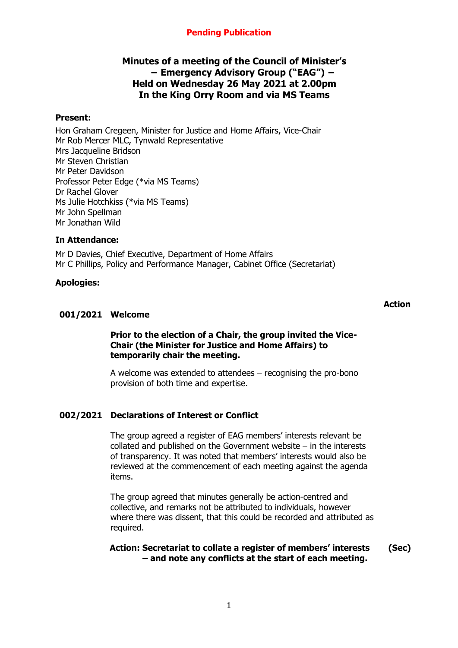## **Pending Publication**

## **Minutes of a meeting of the Council of Minister's − Emergency Advisory Group ("EAG") − Held on Wednesday 26 May 2021 at 2.00pm In the King Orry Room and via MS Teams**

#### **Present:**

Hon Graham Cregeen, Minister for Justice and Home Affairs, Vice-Chair Mr Rob Mercer MLC, Tynwald Representative Mrs Jacqueline Bridson Mr Steven Christian Mr Peter Davidson Professor Peter Edge (\*via MS Teams) Dr Rachel Glover Ms Julie Hotchkiss (\*via MS Teams) Mr John Spellman Mr Jonathan Wild

#### **In Attendance:**

Mr D Davies, Chief Executive, Department of Home Affairs Mr C Phillips, Policy and Performance Manager, Cabinet Office (Secretariat)

#### **Apologies:**

#### **Action**

#### **001/2021 Welcome**

#### **Prior to the election of a Chair, the group invited the Vice-Chair (the Minister for Justice and Home Affairs) to temporarily chair the meeting.**

A welcome was extended to attendees – recognising the pro-bono provision of both time and expertise.

## **002/2021 Declarations of Interest or Conflict**

The group agreed a register of EAG members' interests relevant be collated and published on the Government website – in the interests of transparency. It was noted that members' interests would also be reviewed at the commencement of each meeting against the agenda items.

The group agreed that minutes generally be action-centred and collective, and remarks not be attributed to individuals, however where there was dissent, that this could be recorded and attributed as required.

#### **Action: Secretariat to collate a register of members' interests – and note any conflicts at the start of each meeting. (Sec)**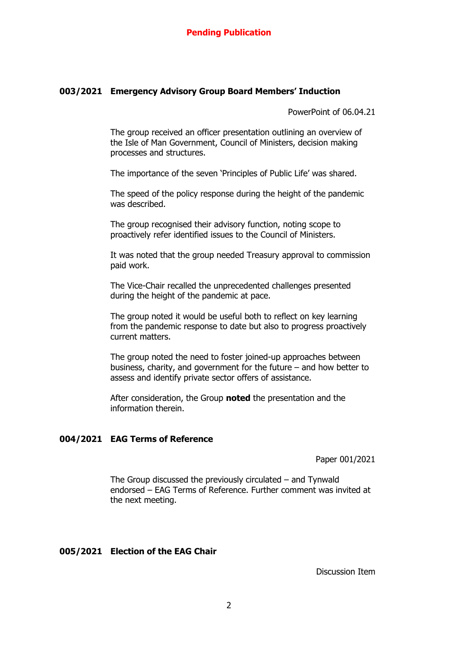#### **003/2021 Emergency Advisory Group Board Members' Induction**

PowerPoint of 06.04.21

The group received an officer presentation outlining an overview of the Isle of Man Government, Council of Ministers, decision making processes and structures.

The importance of the seven 'Principles of Public Life' was shared.

The speed of the policy response during the height of the pandemic was described.

The group recognised their advisory function, noting scope to proactively refer identified issues to the Council of Ministers.

It was noted that the group needed Treasury approval to commission paid work.

The Vice-Chair recalled the unprecedented challenges presented during the height of the pandemic at pace.

The group noted it would be useful both to reflect on key learning from the pandemic response to date but also to progress proactively current matters.

The group noted the need to foster joined-up approaches between business, charity, and government for the future – and how better to assess and identify private sector offers of assistance.

After consideration, the Group **noted** the presentation and the information therein.

#### **004/2021 EAG Terms of Reference**

Paper 001/2021

The Group discussed the previously circulated – and Tynwald endorsed – EAG Terms of Reference. Further comment was invited at the next meeting.

#### **005/2021 Election of the EAG Chair**

Discussion Item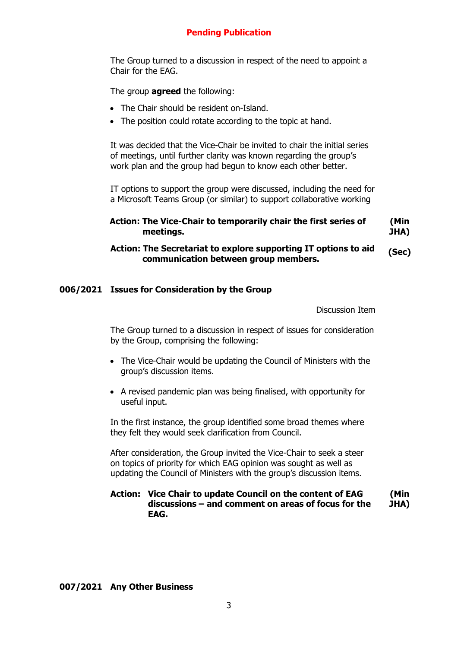### **Pending Publication**

The Group turned to a discussion in respect of the need to appoint a Chair for the EAG.

The group **agreed** the following:

- The Chair should be resident on-Island.
- The position could rotate according to the topic at hand.

It was decided that the Vice-Chair be invited to chair the initial series of meetings, until further clarity was known regarding the group's work plan and the group had begun to know each other better.

IT options to support the group were discussed, including the need for a Microsoft Teams Group (or similar) to support collaborative working

```
Action: The Vice-Chair to temporarily chair the first series of 
meetings.
                                                             (Min 
                                                             JHA)
```
#### **Action: The Secretariat to explore supporting IT options to aid communication between group members. (Sec)**

#### **006/2021 Issues for Consideration by the Group**

Discussion Item

The Group turned to a discussion in respect of issues for consideration by the Group, comprising the following:

- The Vice-Chair would be updating the Council of Ministers with the group's discussion items.
- A revised pandemic plan was being finalised, with opportunity for useful input.

In the first instance, the group identified some broad themes where they felt they would seek clarification from Council.

After consideration, the Group invited the Vice-Chair to seek a steer on topics of priority for which EAG opinion was sought as well as updating the Council of Ministers with the group's discussion items.

#### **Action: Vice Chair to update Council on the content of EAG discussions – and comment on areas of focus for the EAG. (Min JHA)**

#### **007/2021 Any Other Business**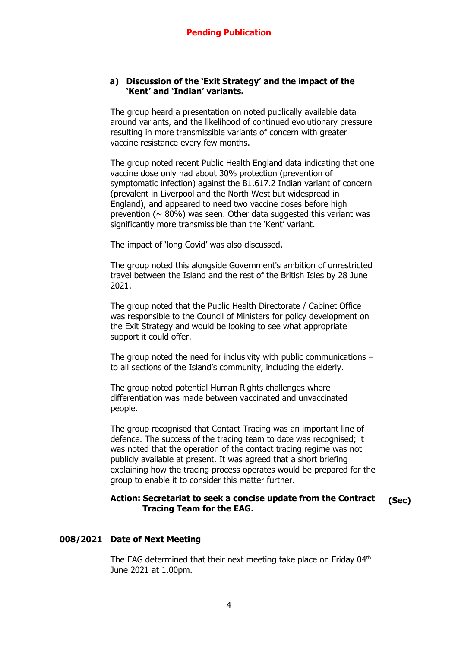#### **a) Discussion of the 'Exit Strategy' and the impact of the 'Kent' and 'Indian' variants.**

The group heard a presentation on noted publically available data around variants, and the likelihood of continued evolutionary pressure resulting in more transmissible variants of concern with greater vaccine resistance every few months.

The group noted recent Public Health England data indicating that one vaccine dose only had about 30% protection (prevention of symptomatic infection) against the B1.617.2 Indian variant of concern (prevalent in Liverpool and the North West but widespread in England), and appeared to need two vaccine doses before high prevention ( $\sim$  80%) was seen. Other data suggested this variant was significantly more transmissible than the 'Kent' variant.

The impact of 'long Covid' was also discussed.

The group noted this alongside Government's ambition of unrestricted travel between the Island and the rest of the British Isles by 28 June 2021.

The group noted that the Public Health Directorate / Cabinet Office was responsible to the Council of Ministers for policy development on the Exit Strategy and would be looking to see what appropriate support it could offer.

The group noted the need for inclusivity with public communications – to all sections of the Island's community, including the elderly.

The group noted potential Human Rights challenges where differentiation was made between vaccinated and unvaccinated people.

The group recognised that Contact Tracing was an important line of defence. The success of the tracing team to date was recognised; it was noted that the operation of the contact tracing regime was not publicly available at present. It was agreed that a short briefing explaining how the tracing process operates would be prepared for the group to enable it to consider this matter further.

# **Action: Secretariat to seek a concise update from the Contract Tracing Team for the EAG. (Sec)**

## **008/2021 Date of Next Meeting**

The EAG determined that their next meeting take place on Friday 04<sup>th</sup> June 2021 at 1.00pm.